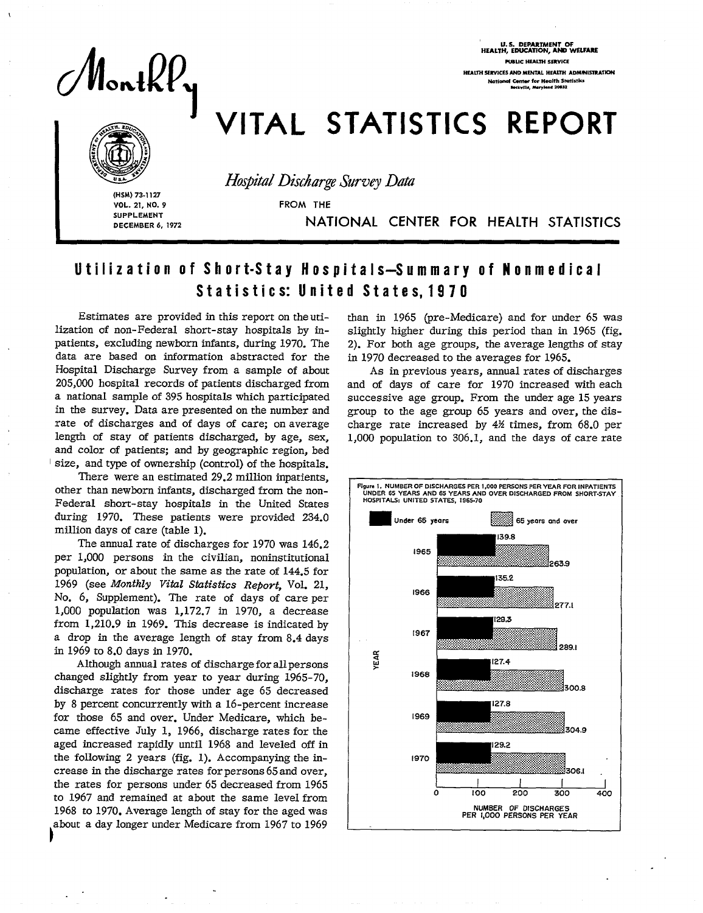

U.S. DEPARTMENTOF HEAL7H, **EDUCATION, AND WSLFARE FU6LK HEALTH** sSRVICE **HEALTH SERVICES AND MENTAL HEALTH ADMINISTRATION** National C<del>enter</del> for Health Statistics<br>Beckville, *Maryland* 20852

## VITAL STATISTICS REPORT



**SUPPLEMENT DECEMBER 6, 1972**  **Hospital Discharge Survey Data** 

**vOL. 21, NO. 9** FROM THE

**OECEMBER 6, 1972** NATIONAL CENTER FOR HEALTH STATISTICS

## Utilization of Short-Stay Hospitals-Summary of Nonmedical Statistics: United States, 1970

 $\begin{array}{c} a \\ b \end{array}$ Estimates are provided in this report on the uti-<br>than in 1965 (pre-Medicare) and for under 65 was<br>lization of non-Federal short-stay hospitals by in-<br>slightly higher during this period than in 1965 (fig. lization of non-Federal short-stay hospitals by in- slightly higher during this period than in 1965 (fig. data are based on information abstracted for the in 1970 decreased to the averages for 1965. Hospital Discharge Survey from a sample of about As in previous years, annual rates of discharges<br>205,000 hospital records of patients discharged from and of days of care for 1970 increased with each 205,000 hospital records of patients discharged from and of days of care for 1970 increased with each in the survey. Data are presented on the number and rate of discharges and of days of care; on average charge rate increased by  $4\frac{1}{2}$  times, from 68.0 per length of stay of patients discharged, by age, sex, 1.000 population to 306.1, and the days of care rate and color of patients; and by geographic region, bed size, and type of ownership (control) of the hospitals.

There were an estimated 29.2 million inpatients, other than newborn infants, discharged from the non-Federal short-stay hospitals in the United States during 1970. These patients were provided 234.0 million days of care (table 1).

The annual rate of discharges for 1970 was 146.2 per 1,000 persons in the civilian, noninstitutional population, or about the same as the rate of 144.5 for 1969 (see *Monthly Vitul Statistics Report, Vol. 21, No. 6,* Supplement). The rate of days of care per 1,000 population was 1,172.7 in 1970, a decrease from 1,210.9 in 1969. This decrease is indicated by a drop in the average length of stay from 8.4 days in 1969 to 8.0 days in 1970.

Although annual rates of discharge for all persons changed slightly from year to year during 1965-70, discharge rates for those under age 65 decreased by 8 percent concurrently with a 16-percent increase for those 65 and over. Under Medicare, which became effective July 1, 1966, discharge rates for the aged increased rapidly until 1968 and leveled off in the following 2 years (fig. 1). Accompanying the increase in the discharge rates for persons 65 and over, the rates for persons under 65 decreased from 1965 to 1967 and remained at about the same leveI from 1968 to 1970. Average length of stay for the aged was **o**about a day longer under Medicare from 1967 to 1969

2). For both age groups, the average lengths of stay.

successive age group. From the under age 15 years<br>group to the age group 65 years and over, the dis-1,000 population to  $306.1$ , and the days of care rate

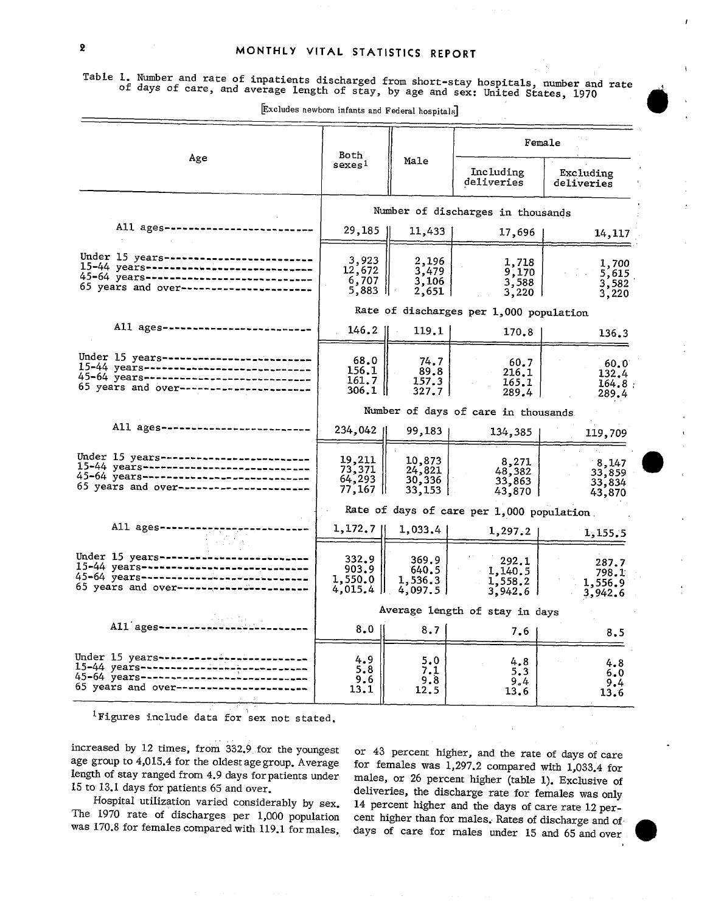f

(

Table 1. Number and rate of inpatients discharged from short-stay hospitals, number and rate of days of care, and average length of stay, by age and sex: United States, 1970

|                                                                                                                                                                         | Both                                   |                                      | Female                                     |                                      |  |  |
|-------------------------------------------------------------------------------------------------------------------------------------------------------------------------|----------------------------------------|--------------------------------------|--------------------------------------------|--------------------------------------|--|--|
| Age                                                                                                                                                                     | sexes <sup>1</sup>                     | Male                                 | Including<br>deliveries                    | Excluding<br>deliveries              |  |  |
|                                                                                                                                                                         | Number of discharges in thousands      |                                      |                                            |                                      |  |  |
| All ages----------                                                                                                                                                      | 29,185                                 | 11,433                               | 17,696                                     | 14,117                               |  |  |
| Under 15 years----------------------<br>15-44 years----------------------------<br>45-64 years---------------------------<br>65 years and over-------------------       | 3,923<br>12,672<br>6,707<br>5,883 川    | 2,196<br>3,479<br>3,106<br>2,651     | 1,718<br>9,170<br>$3,588$<br>$3,220$       | 1,700<br>5,615<br>3,582<br>3,220     |  |  |
|                                                                                                                                                                         |                                        |                                      | Rate of discharges per 1,000 population    |                                      |  |  |
| All ages---------------                                                                                                                                                 | $146.2$                                | 119.1                                | 170.8                                      | 136.3                                |  |  |
| Under 15 years------------------------<br>15-44 years---------------------------<br>45-64 years-----------------------------<br>65 years and over---------------------- | 68.0<br>156.1<br>161.7<br>$306.1$      | 74.7<br>89.8<br>157.3<br>327.7       | 60.7<br>216.1<br>165.1<br>289.4            | 60.0<br>132.4<br>164.8<br>289.4      |  |  |
|                                                                                                                                                                         |                                        |                                      | Number of days of care in thousands        |                                      |  |  |
| All ages-----------                                                                                                                                                     | 234,042                                | 99,183                               | 134,385                                    | 119,709                              |  |  |
| Under 15 years ----------------------<br>45-64 years--------------------------<br>65 years and over-------------------                                                  | 19, 211<br>73, 371<br>64,293<br>77,167 | 10,873<br>24,821<br>30,336<br>33,153 | 8,271<br>48,382<br>33,863<br>43,870        | 8,147<br>33,859<br>33,834<br>43,870  |  |  |
|                                                                                                                                                                         |                                        |                                      | Rate of days of care per 1,000 population. |                                      |  |  |
| All ages---                                                                                                                                                             | 1,172,7                                | 1,033.4                              | 1,297.2                                    | 1,155.5                              |  |  |
| Under $15$ years -----------<br>15-44 years---------------------------<br>45-64 years----------------------<br>65 years and over-------------------                     | 332.9<br>903.9<br>1,550.0<br>4,015.4   | 369.9<br>640.5<br>1,536.3<br>4,097.5 | 292.1<br>1,140.5<br>1,558.2<br>3,942.6     | 287.7<br>798.1<br>1,556.9<br>3,942.6 |  |  |
|                                                                                                                                                                         | Average length of stay in days         |                                      |                                            |                                      |  |  |
| All ages ----                                                                                                                                                           | $8,0$                                  | 8.7                                  | 7.6                                        | 8.5                                  |  |  |
| Under 15 years---------------<br>15-44 years----------------------------<br>45-64 years-------------------------<br>65 years and over-------------                      | 4.9<br>5.8<br>9.6<br>13.1              | 5.0<br>7.1<br>9.8<br>12.5            | 4.8<br>5.3<br>9.4<br>13.6                  | 4.8<br>6.0<br>9.4<br>13.6            |  |  |

Excludes newborn infants and Federal hospitals]

,, lFigures include data for 'sexnot stated.

increased by 12 times, from 332.9 for the youngest or 43 percent higher, and the rate of days of care age group to  $4.015.4$  for the oldest age group. Average for females was 1.297.2 compared with 1.033.4 for age group to 4,015.4 for the oldest age group. Average for females was 1,297.2 compared with 1,033.4 for length of stay ranged from 4.9 days for patients under males, or 26 percent higher (table 1). Exclusive of

length of stay ranged from 4.9 days for patients under males, or 26 percent higher (table 1). Exclusive of 15 to 13.1 days for patients 65 and over. 15.1 days for patients 65 and over.<br>14 percent higher and the days of care rate 12 per-<br>14 percent higher and the days of care rate 12 per-Hospital utilization varied considerably by sex. 14 percent higher and the days of care rate 12 per-<br>The 1970 rate of discharges per 1,000 population cent higher than for males. Rates of discharge and of The 1970 rate of discharges per 1,000 population cent higher than for males. Rates of discharge and of was 170.8 for females compared with 119.1 for males. days of care for males under 15 and 65 and over days of care for males under 15 and 65 and over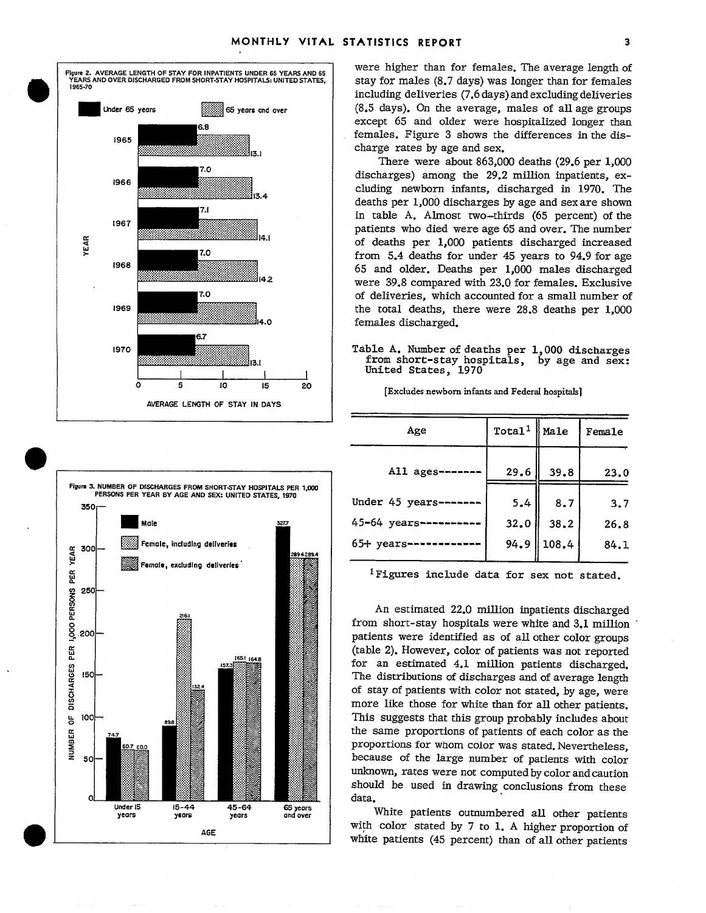6.8  $7.0$ 7.1  $1967$ 7.0 R7

**AVERAGE LENGTH OF STAY IN DAYS** 

Were higher 2. AVERAGE LENGTH OF STAY FOR INPATIENTS UNDER 65 YEARS AND 65 WERE higher than for females. The average length of  $\frac{1}{2}$  YEARS AND OVER DISCHARGED FROM SHORT-STAY HOSPITALS: UNITED STATES. YEARS AND OVER DISCHARGED FROM SHORT-STAY HOSPITALS: UNITED STATES, stay for males (8.7 days) was longer than for females including deliveries (7.6 days) and excluding deliveries **-Under 65 years H65yems .",** 0,., (8.5 days). On the average, males of all age groups **.+..:..**  except 65 and older were hospitalized Ionger than  $\begin{array}{r|l}\n\hline\n\text{5} & \text{from } 1965 \\
\hline\n\text{5} & \text{the difference} & \text{in the distance} \\
\hline\n\end{array}$  females. Figure 3 shows the differences in the dis-

There were about  $863,000$  deaths  $(29.6 \text{ per } 1,000$ discharges) among the 29.2 million inpatients, ex-  $1966$  cluding newborn infants, discharged in 1970. The cluding newborn infants, discharged in 1970. The deaths per 1,000 discharges by age and sex are shown in table A. Almost two-thirds (65 percent) of the patients who died were age 65 and over. The number e and the contract of deaths per 1,000 patients discharged increased<br>  $\frac{1}{2}$  of deaths per 1,000 patients discharged increased<br>  $\frac{1}{2}$  from 5.4 deaths for under 45 years to 94.9 for age  $\begin{array}{|c|c|c|c|c|c|}\n\hline\n\text{7.0} & \text{from 5.4 deaths for under 45 years to 94.9 for age} \\
\hline\n\text{7.0} & \text{from 5.4 deaths for under 45 years to 94.9 for age}\n\hline\n\end{array}$ 1965 and older. Deaths per 1,000 males discharged were 39.8 compared with 23.0 for females. Exclusive of deliveries, which accounted for a small number of 1969  $\text{max}_{\text{max}}$  and  $\text{max}_{\text{max}}$  is the total deaths, there were 28.8 deaths per 1,000 females discharged.

1970 **A. A. Number of deaths per 1,000 discharges**<br>Trom short-stay hospitals, by age and sex: from short-stay hospitals, 1 1 United States, 1970<br>5 10 15 20 15 10 16 10 16

|                                                          |           | Age                                                   | $Total1$ Male |       | Female |
|----------------------------------------------------------|-----------|-------------------------------------------------------|---------------|-------|--------|
| NUMBER OF DISCHARGES FROM SHORT-STAY HOSPITALS PER 1,000 |           | All ages-                                             | 29.6          | 39.8  | 23.0   |
| PERSONS PER YEAR BY AGE AND SEX: UNITED STATES, 1970     |           | Under 45 years-                                       | 5.4           | 8.7   | 3.7    |
| Male                                                     | 327.7     | 45-64 years-                                          | 32.0          | 38.2  | 26.8   |
| Female, including deliveries                             |           | $65+$ years-                                          | 94.9          | 108.4 | 84.1   |
| Female, excluding deliveries                             | 2894289.4 | <sup>1</sup> Figures include data for sex not stated. |               |       |        |

o 5 10 15 20 [Excludes newborn infants and Federal hospitals]

**<sup>~</sup>**An estimated 22.0 million inpatients discharged from short-stay hospitals were white and 3.1 million <sup>2</sup>. <sup>200</sup> patients were identified as of all other color groups<br>
<sup>1651</sup> 1648<br>
<sup>1651</sup> 1648 **<sup>165</sup>** *(table 2). However, color of patients was not reported* **n. 2. In the contract of the contract of the contract of the contract of the contract of the contract of the contract of the contract of the contract of the contract of the contract of the contract of the contract of the a** The distributions of discharges and of average length **<sup>z</sup>**of stay of patients with color not stated, by age, we're **5 u.** This suggests that this group probably includes about **<sup>0</sup> c**  $\frac{1}{24.7}$  **the same proportions of patients of each color as the m** proportions for whom color was stated. Nevertheless, **E** so  $-$  **in the solution of the large number of patients with color** unknown, rates were not computed by color and caution should be used in drawing conclusions from these data.

AGE **AGE WEIGHT COLOR STATE STATE OF 1.** A higher proportion of  $\frac{46}{5}$  percent) than of all other patients

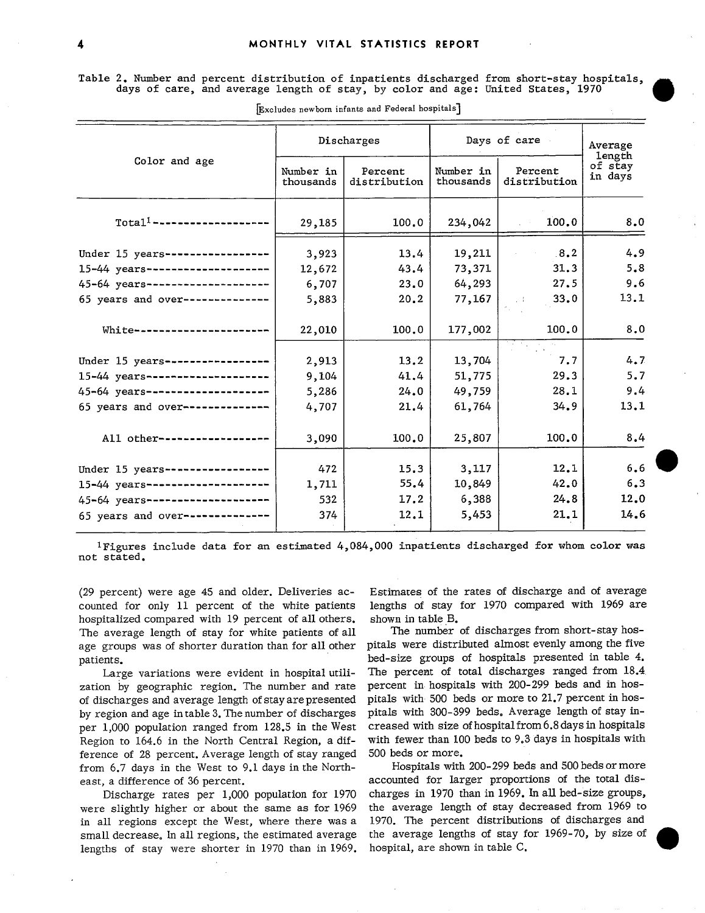Table 2. Number and percent distribution of inpatients discharged from short-stay hospitals, days of care, and average length of stay, by color and age: United States, 1970

|                                   | Discharges             |                         | Days of care           | Average<br>length       |                    |
|-----------------------------------|------------------------|-------------------------|------------------------|-------------------------|--------------------|
| Color and age                     | Number in<br>thousands | Percent<br>distribution | Number in<br>thousands | Percent<br>distribution | of stay<br>in days |
| $Total1$ --------------------     | 29,185                 | 100.0                   | 234,042                | 100.0                   | 8.0                |
| Under 15 years-----------------   | 3,923                  | 13.4                    | 19,211                 | 8.2                     | 4.9                |
| 15-44 years--------------------   | 12,672                 | 43.4                    | 73,371                 | 31.3                    | 5.8                |
| 45-64 years--------------------   | 6,707                  | 23.0                    | 64,293                 | 27.5                    | 9.6                |
| 65 years and over--------------   | 5,883                  | 20.2                    | 77,167                 | 33.0<br>$\sim 1$        | 13.1               |
| White---------------------        | 22,010                 | 100.0                   | 177,002                | 100.0                   | 8.0                |
|                                   |                        |                         |                        |                         |                    |
| Under 15 years-----------------   | 2,913                  | 13.2                    | 13,704                 | 7.7                     | 4.7                |
| 15-44 years --------------------- | 9,104                  | 41.4                    | 51,775                 | 29.3                    | 5.7                |
| 45-64 years--------------------   | 5,286                  | 24.0                    | 49,759                 | 28.1                    | 9.4                |
| 65 years and over--------------   | 4,707                  | 21.4                    | 61,764                 | 34.9                    | 13.1               |
| All other------------------       | 3,090                  | 100.0                   | 25,807                 | 100.0                   | 8.4                |
| Under 15 years------------------  | 472                    | 15.3                    | 3,117                  | 12.1                    | 6.6                |
| 15-44 years---------------------  | 1,711                  | 55.4                    | 10,849                 | 42.0                    | 6.3                |
| 45-64 years --------------------  | 532                    | 17.2                    | 6,388                  | 24.8                    | 12.0               |
| 65 years and over--------------   | 374                    | 12.1                    | 5,453                  | 21.1                    | 14.6               |

Excludes newborn infants and Federal hospitals]

 $^1\rm{Figures}$  include data for an estimated  $4,084,000$  inpatients discharged for whom color was not stated.

(29 percent) were age 45 and older. Deliveries accounted for only 11 percent of the white patients hospitalized compared with 19 percent of all others. The average length of stay for white patients of all age groups was of shorter duration than for all other patients.

Large variations were evident in hospital utilization by geographic region. The number and rate of discharges and average length of stay are presented by region and age in table 3. The number of discharges per 1,000 population ranged from 128.5 in the West Region to 164.6 in the North Central Region, a dif ference of 28 percent. Average length of stay ranged from 6.7 days in the West to 9.1 days in the Northeast, a difference of 36 percent.

Discharge rates per 1,000 population for 1970 were slightly higher or about the same as for 1969 in all regions except the West, where there was a small decrease. In all regions, the estimated average lengths of stay were shorter in 1970 than in 1969. Estimates of the rates of discharge and of average lengths of stay for 1970 compared with 1969 are shown in table B.

The number of discharges from short-stay hospitals were distributed almost evenly among the five bed-size groups of hospitals presented in table 4. The percent of total discharges ranged from 18.4 percent in hospitals with 200-299 beds and in hospitals with 500 beds or more to 21.7 percent in hospitals with 300-399 beds. Average length of stay increased with size ofhospitalfrom6.8daysin hospitals with fewer than 100 beds to 9.3 days in hospitals with 500 beds or more.

Hospitals with 200-299 beds and 500 beds or more accounted for larger proportions of the total discharges in 1970 than in 1969. In all bed-size groups, the average length of stay decreased from 1969 to 1970. The percent distributions of discharges and the average lengths of stay for 1969-70, by size of hospital, are shown in table C.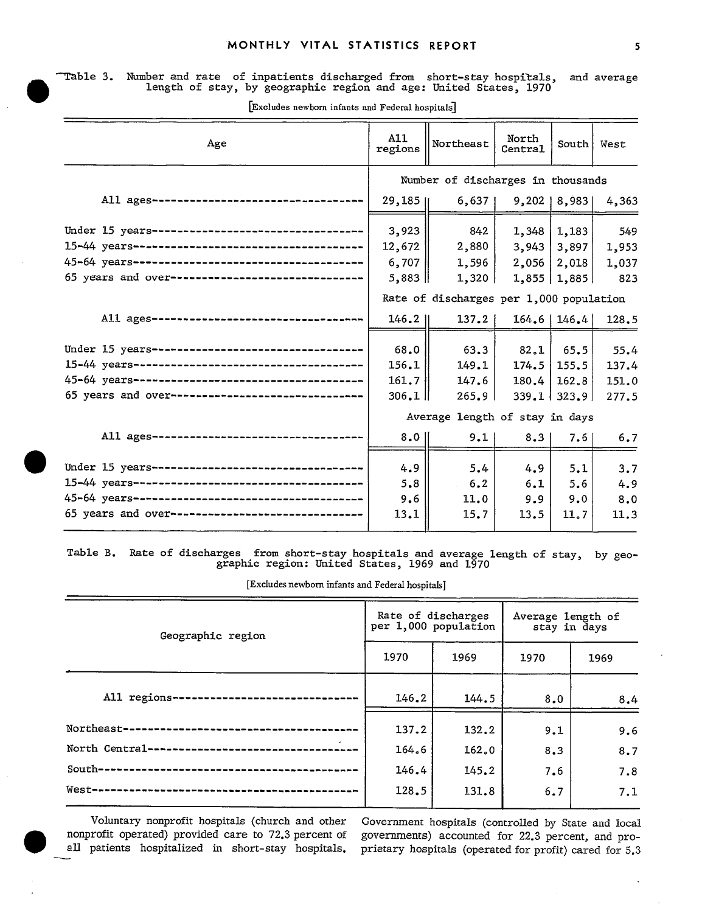## ~ble 3. Number and **rate** of inpatients discharged from short-stay hospitals, and average length of stay, by geographic region and age: United States, 1970

| Age                                               | A11<br>regions                          | Northeast                         | North<br>Centra1 | South   West      |       |
|---------------------------------------------------|-----------------------------------------|-----------------------------------|------------------|-------------------|-------|
|                                                   |                                         | Number of discharges in thousands |                  |                   |       |
| All ages-------------------------------           | $29,185$ <sup>[</sup>                   | 6,637                             |                  | $9,202$   8,983   | 4,363 |
| Under 15 years----------------------------------  | 3,923                                   | 842                               | 1,348            | 1,183             | 549   |
|                                                   | 12,672                                  | 2,880                             | 3,943            | 3,897             | 1,953 |
|                                                   | 6,707                                   | 1,596                             | 2,056            | 2,018             | 1,037 |
| 65 years and over-------------------------------  | $5,883$                                 | 1,320                             |                  | 1,855   1,885     | 823   |
|                                                   | Rate of discharges per 1,000 population |                                   |                  |                   |       |
| All ages --------------------------------         | 146.2                                   | 137.2                             |                  | $164.6$   146.4   | 128.5 |
| Under 15 years----------------------------------  | 68.0                                    | 63.3                              | 82.1             | 65.5              | 55.4  |
|                                                   | 156.1                                   | 149.1                             | 174.5            | 155.5             | 137.4 |
|                                                   | 161.7                                   | 147.6                             | 180.4            | 162, 8            | 151.0 |
| 65 years and over------------------------------   | 306.1                                   | 265.9                             |                  | $339.1$   $323.9$ | 277.5 |
|                                                   | Average length of stay in days          |                                   |                  |                   |       |
| All ages---------------------------------         | $8.0$                                   | 9.1                               | 8.3              | 7.6               | 6.7   |
| Under 15 years----------------------------------  | 4.9                                     | 5.4                               | 4.9              | 5.1               | 3.7   |
|                                                   | 5.8                                     | 6.2                               | 6.1              | 5.6               | 4.9   |
|                                                   | 9.6                                     | 11.0                              | 9.9              | 9.0               | 8.0   |
| 65 years and over-------------------------------- | 13.1                                    | 15.7                              | 13.5             | 11.7              | 11.3  |
|                                                   |                                         |                                   |                  |                   |       |

[Excludes newborn infants and Federal hospitals]

Table B. Rate of discharges from short-stay hospitals and average length of stay, by geo graphic region: United States, 1969 and 1970

[Excludes newborn infants and Federal hospitals]

| Geographic region                                   | Rate of discharges | per 1,000 population | Average length of<br>stay in days |      |  |
|-----------------------------------------------------|--------------------|----------------------|-----------------------------------|------|--|
|                                                     | 1970               | 1969                 | 1970                              | 1969 |  |
| All regions-<br>                                    | 146.2              | 144.5                | 8.0                               | 8,4  |  |
| Northeast--                                         | 137.2              | 132.2                | 9.1                               | 9.6  |  |
| $\sim$<br>North Central---------------------------- | 164.6              | 162.0                | 8.3                               | 8.7  |  |
|                                                     | 146.4              | 145.2                | 7.6                               | 7.8  |  |
|                                                     | 128.5              | 131.8                | 6.7                               | 7.1  |  |

Voluntary nonprofit hospitals (church and other nonprofit operated) provided care to 72.3 percent of governments) accounted for 22.3 percent, and pro-<br>all patients hospitalized in short-stay hospitals, prietary hospitals (operated for profit) cared for 5.3 all patients hospitalized in short-stay hospitals. all patients hospitalized in short-stay hospitals, prietary hospitals (operated for profit) cared for 5.3

Government hospitals (controlled by State and local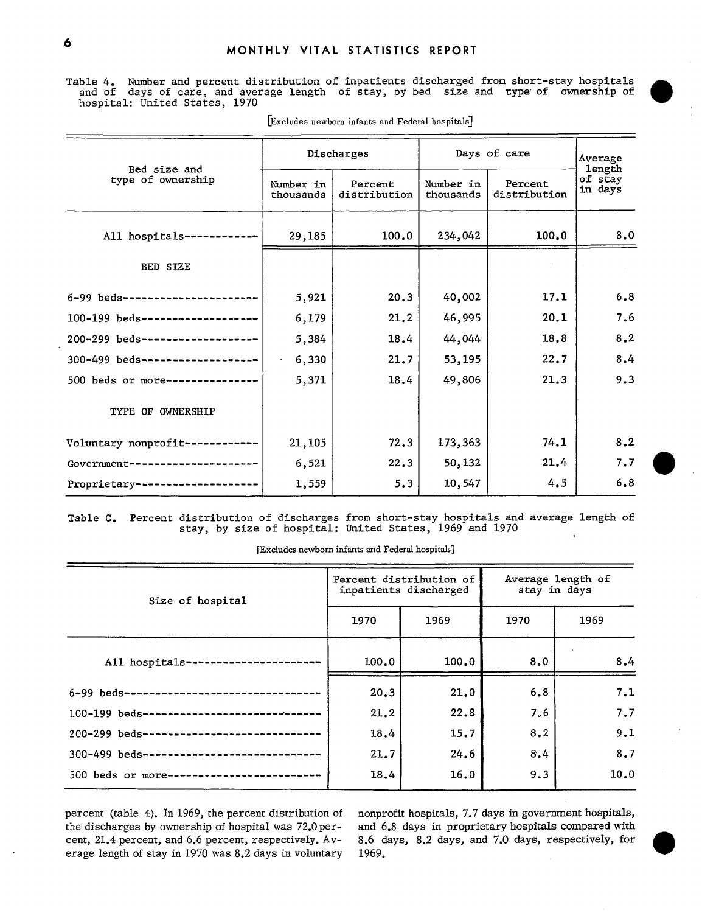Table 4. Number and percent distribution of inpatients discharged from short-stay hospitals<br>and of days of care, and average length of stay, by bed size and type of ownership of

| Bed size and                     |                        | Discharges              | Days of care           | Average<br>length       |                    |  |
|----------------------------------|------------------------|-------------------------|------------------------|-------------------------|--------------------|--|
| type of ownership                | Number in<br>thousands | Percent<br>distribution | Number in<br>thousands | Percent<br>distribution | of stay<br>in days |  |
| All hospitals ----------         | 29,185                 | 100.0                   | 234,042                | 100.0                   | 8.0                |  |
| BED SIZE                         |                        |                         |                        |                         |                    |  |
| 6-99 beds--------------------    | 5,921                  | 20.3                    | 40,002                 | 17.1                    | 6, 8               |  |
| 100-199 beds-------------------  | 6,179                  | 21.2                    | 46,995                 | 20.1                    | 7.6                |  |
| 200-299 beds-------------------- | 5,384                  | 18.4                    | 44,044                 | 18.8                    | 8.2                |  |
| 300-499 beds-------------------  | 6,330                  | 21.7                    | 53,195                 | 22.7                    | 8,4                |  |
| 500 beds or more---------------  | 5,371                  | 18.4                    | 49,806                 | 21.3                    | 9.3                |  |
| TYPE OF OWNERSHIP                |                        |                         |                        |                         |                    |  |
| Voluntary nonprofit---------     | 21,105                 | 72.3                    | 173,363                | 74.1                    | 8,2                |  |
| Government ------------------    | 6,521                  | 22.3                    | 50,132                 | 21.4                    | 7.7                |  |
| Proprietary--------------------  | 1,559                  | 5.3                     | 10,547                 | 4.5                     | 6.8                |  |

[Excludes newborn infants aud Federal hospitals]

Table C. Percent distribution of discharges from short-stay hospitals and average length of<br>stay, by size of hospital: United States, 1969 and 1970  $\mathbf{I}$ 

[Excludes newborn infants and FedersJ hospitals]

| Size of hospital                            |       | Percent distribution of<br>inpatients discharged | Average length of<br>stay in days |      |  |
|---------------------------------------------|-------|--------------------------------------------------|-----------------------------------|------|--|
|                                             | 1970  | 1969                                             | 1970                              | 1969 |  |
| All hospitals -------------------           | 100.0 | 100.0                                            | 8.0                               | 8,4  |  |
| 6-99 beds------------------------------     | 20.3  | 21.0                                             | 6.8                               | 7.1  |  |
| 100-199 beds------------------------------  | 21.2  | 22.8                                             | 7.6                               | 7.7  |  |
| 200-299 beds----------------------------    | 18.4  | 15.7                                             | 8.2                               | 9.1  |  |
| 300-499 beds------------------------------- | 21.7  | 24.6                                             | 8.4                               | 8.7  |  |
| 500 beds or more-------------------------   | 18.4  | 16.0                                             | 9.3                               | 10.0 |  |

percent (table 4). In 1969, the percent distribution of the discharges by ownership of hospital was 72.0 percent, 21.4 percent, and 6.6 percent, respectively. Av- 8.6 days, 8.2 days, and 7.0 days, respectively, for erage length of stay in 1970 was 8.2 days in voluntary 1969. erage length of stay in 1970 was 8.2 days in voluntary

nonprofit hospitals, 7.7 days in government hospitals, and 6.8 days in proprietary hospitals compared with



Q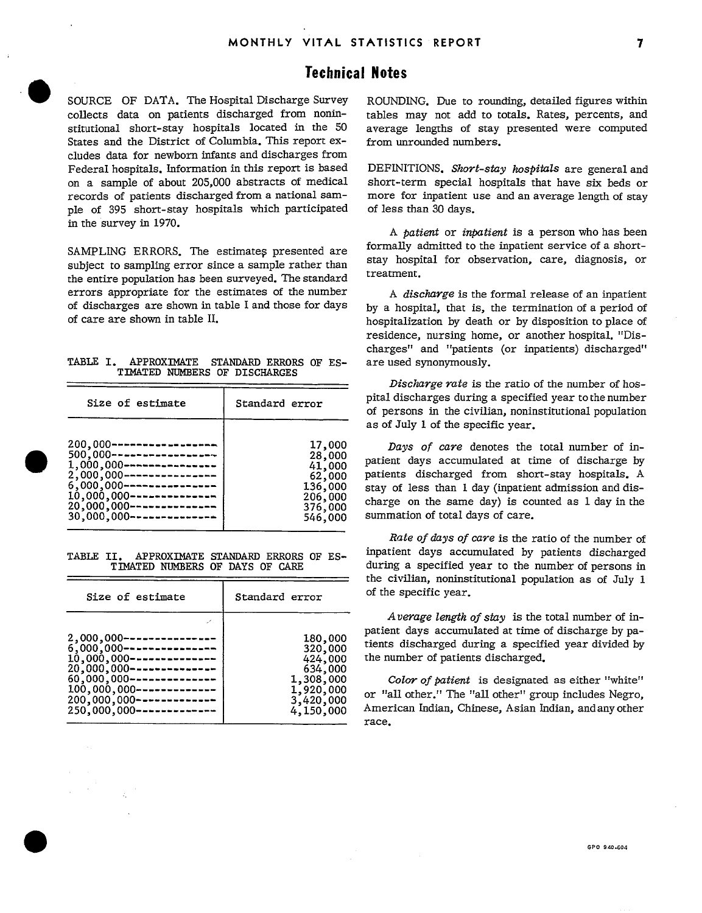## Technical Notes

SOURCE OF DATA. The Hospital Discharge Survey collects data on patients discharged from noninstitutional short-stay hospitals located in the 50 States and the District of Columbia. This report excludes data for newborn infants and discharges from FederaI hospitals. Information in this report is based on a sample of about 205,000 abstracts of medical records of patients discharged from a national sample of 395 short-stay hospitals which participated in the survey in 1970.

**0** 

**0** 

SAMPLING ERRORS. The estimates presented are subject to sampling error since a sample rather than the entire population has been surveyed. The standard errors appropriate for the estimates of the number of discharges are shown in table I and those for days of care are shown in table II.

|  | TABLE I. APPROXIMATE STANDARD ERRORS OF ES- |  |  |  |
|--|---------------------------------------------|--|--|--|
|  | TIMATED NUMBERS OF DISCHARGES               |  |  |  |

| Size of estimate             | Standard error |
|------------------------------|----------------|
| 200,000------------------    | 17,000         |
| $500,000$ -----------------  | 28,000         |
| $1,000,000$ ---------------- | 41,000         |
| $2,000,000$ ---------------- | 62,000         |
| $6,000,000$ ---------------- | 136,000        |
| $10,000,000$ --------------- | 206,000        |
| $20,000,000$ --------------- | 376,000        |
| $30,000,000$ --------------- | 546,000        |

TABLE II. APPROXIMATE STANDARD ERRORS OF ES TIMATED NUMBERS OF DAYS OF CARE

| Size of estimate                                                                                                                                                                                                                                      | Standard error                                                                               |
|-------------------------------------------------------------------------------------------------------------------------------------------------------------------------------------------------------------------------------------------------------|----------------------------------------------------------------------------------------------|
| $2,000,000$ -------------<br>$6.000.000$ ----------------<br>$10,000,000$ ---------------<br>$20,000,000$ ---------------<br>$60,000,000$ ---------------<br>$100,000,000$ --------------<br>$200,000,000$ -----------<br>$250,000,000$ ------------- | 180,000<br>320,000<br>424,000<br>634,000<br>1,308,000<br>1,920,000<br>3,420,000<br>4,150,000 |

ROUNDING. Due to rounding, detailed figures within tables may not add to totals. Rates, percents, and average lengths of stay presented were computed from unrounded numbers.

DEFINITIONS. *Short-stay hospituk* are general and short-term special hospitals that have six beds or more for inpatient use and an average length of stay of less than 30 days.

A *patient* or *inpatient* is a person who has been formally admitted to the inpatient service of a shortstay hospital for observation, care, diagnosis, or treatment.

A *discharge is* the formal release of an inpatient by a hospital, that is, the termination of a period of hospitalization by death or bydisposition to place of residence, nursing home, or another hospitaL "Discharges" and "patients (or inpatients) discharged" are used synonymously.

*Discharge rate* is the ratio of the number of hospital discharges during a specified year to the number of persons in the civilian, noninstitutional population as of July 1 of the specific year.

Days of care denotes the total number of inpatient days accumulated at time of discharge by patients discharged from short-stay hospitals. A stay of less than 1 day (inpatient admission and discharge on the same day) is counted as 1 day in the summation of totaI days of care.

*Rate of days of care* is the ratio of the number of inpatient days accumulated by patients discharged during a specified year to the number of persons in the civilian, noninstitutional population as of July 1 of the specific year.

Average length of stay is the total number of inpatient days accumulated at time of discharge by patients discharged during a specified year divided by the number of patients discharged.

*Color of patient* is designated as either "white" or "all other." The "all other" group includes Negro, American Indian, Chinese, Asian Indian, and any other race.